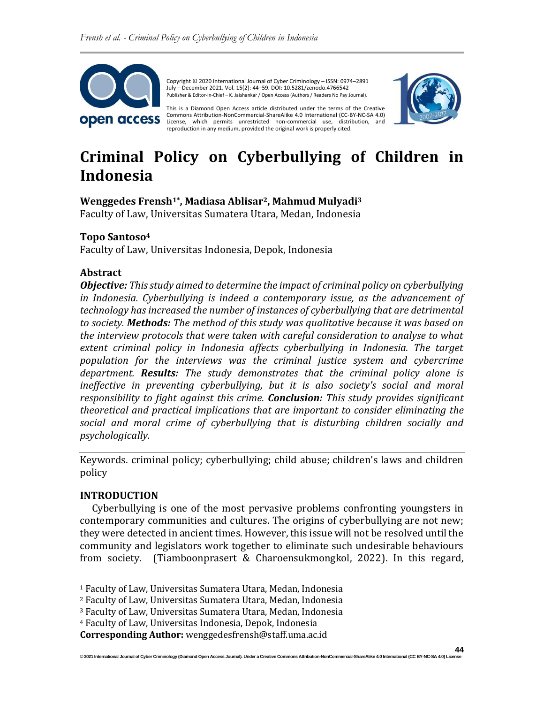

Copyright © 2020 International Journal of Cyber Criminology – ISSN: 0974–2891 July – December 2021. Vol. 15(2): 44–59. DOI: 10.5281/zenodo.4766542 Publisher & Editor-in-Chief – K. Jaishankar / Open Access (Authors / Readers No Pay Journal).

This is a Diamond Open Access article distributed under the terms of the Creative Commons Attribution-NonCommercial-ShareAlike 4.0 International (CC-BY-NC-SA 4.0) License, which permits unrestricted non-commercial use, distribution, and reproduction in any medium, provided the original work is properly cited.



# **Criminal Policy on Cyberbullying of Children in Indonesia**

### **Wenggedes Frensh1\* , Madiasa Ablisar2, Mahmud Mulyadi<sup>3</sup>**

Faculty of Law, Universitas Sumatera Utara, Medan, Indonesia

### **Topo Santoso<sup>4</sup>**

Faculty of Law, Universitas Indonesia, Depok, Indonesia

#### **Abstract**

*Objective: This study aimed to determine the impact of criminal policy on cyberbullying in Indonesia. Cyberbullying is indeed a contemporary issue, as the advancement of technology has increased the number of instances of cyberbullying that are detrimental to society. Methods: The method of this study was qualitative because it was based on the interview protocols that were taken with careful consideration to analyse to what*  extent criminal policy in Indonesia affects cyberbullying in Indonesia. The target *population for the interviews was the criminal justice system and cybercrime department. Results: The study demonstrates that the criminal policy alone is ineffective in preventing cyberbullying, but it is also society's social and moral responsibility to fight against this crime. Conclusion: This study provides significant theoretical and practical implications that are important to consider eliminating the social and moral crime of cyberbullying that is disturbing children socially and psychologically.*

Keywords. criminal policy; cyberbullying; child abuse; children's laws and children policy

### **INTRODUCTION**

Cyberbullying is one of the most pervasive problems confronting youngsters in contemporary communities and cultures. The origins of cyberbullying are not new; they were detected in ancient times. However, this issue will not be resolved until the community and legislators work together to eliminate such undesirable behaviours from society. (Tiamboonprasert & Charoensukmongkol, 2022). In this regard,

<sup>1</sup> Faculty of Law, Universitas Sumatera Utara, Medan, Indonesia

<sup>2</sup> Faculty of Law, Universitas Sumatera Utara, Medan, Indonesia

<sup>3</sup> Faculty of Law, Universitas Sumatera Utara, Medan, Indonesia

<sup>4</sup> Faculty of Law, Universitas Indonesia, Depok, Indonesia

**Corresponding Author:** wenggedesfrensh@staff.uma.ac.id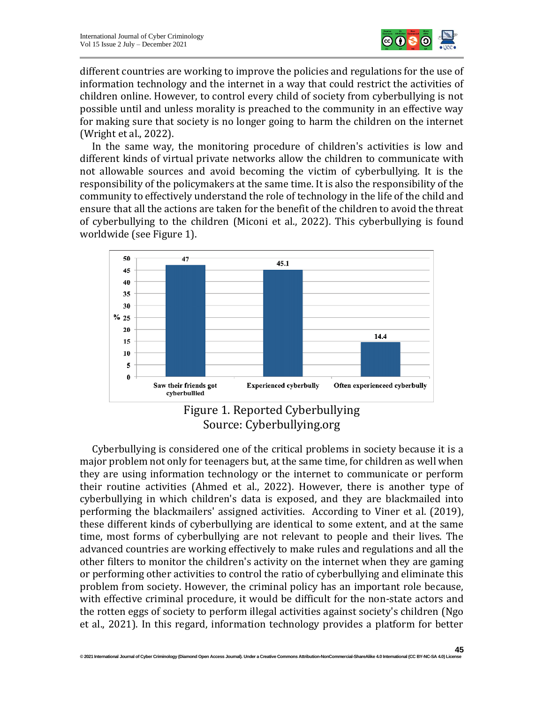

different countries are working to improve the policies and regulations for the use of information technology and the internet in a way that could restrict the activities of children online. However, to control every child of society from cyberbullying is not possible until and unless morality is preached to the community in an effective way for making sure that society is no longer going to harm the children on the internet (Wright et al., 2022).

In the same way, the monitoring procedure of children's activities is low and different kinds of virtual private networks allow the children to communicate with not allowable sources and avoid becoming the victim of cyberbullying. It is the responsibility of the policymakers at the same time. It is also the responsibility of the community to effectively understand the role of technology in the life of the child and ensure that all the actions are taken for the benefit of the children to avoid the threat of cyberbullying to the children (Miconi et al., 2022). This cyberbullying is found worldwide (see Figure 1).



Figure 1. Reported Cyberbullying Source: Cyberbullying.org

Cyberbullying is considered one of the critical problems in society because it is a major problem not only for teenagers but, at the same time, for children as well when they are using information technology or the internet to communicate or perform their routine activities (Ahmed et al., 2022). However, there is another type of cyberbullying in which children's data is exposed, and they are blackmailed into performing the blackmailers' assigned activities. According to Viner et al. (2019), these different kinds of cyberbullying are identical to some extent, and at the same time, most forms of cyberbullying are not relevant to people and their lives. The advanced countries are working effectively to make rules and regulations and all the other filters to monitor the children's activity on the internet when they are gaming or performing other activities to control the ratio of cyberbullying and eliminate this problem from society. However, the criminal policy has an important role because, with effective criminal procedure, it would be difficult for the non-state actors and the rotten eggs of society to perform illegal activities against society's children (Ngo et al., 2021). In this regard, information technology provides a platform for better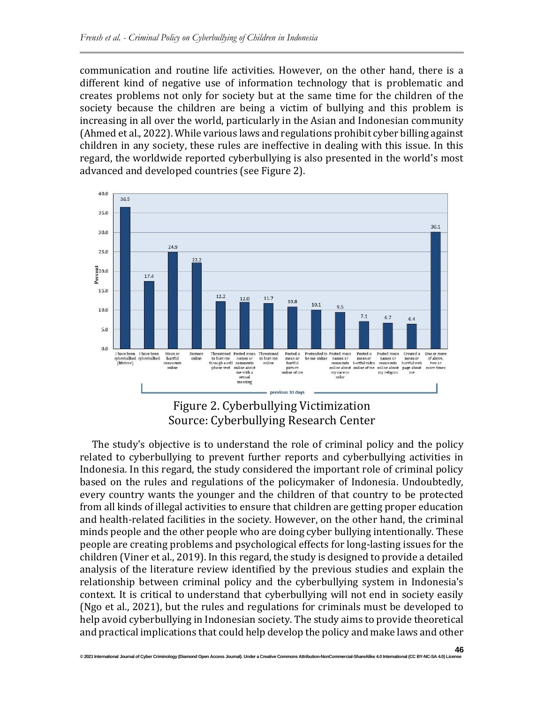communication and routine life activities. However, on the other hand, there is a different kind of negative use of information technology that is problematic and creates problems not only for society but at the same time for the children of the society because the children are being a victim of bullying and this problem is increasing in all over the world, particularly in the Asian and Indonesian community (Ahmed et al., 2022). While various laws and regulations prohibit cyber billing against children in any society, these rules are ineffective in dealing with this issue. In this regard, the worldwide reported cyberbullying is also presented in the world's most advanced and developed countries (see Figure 2).





The study's objective is to understand the role of criminal policy and the policy related to cyberbullying to prevent further reports and cyberbullying activities in Indonesia. In this regard, the study considered the important role of criminal policy based on the rules and regulations of the policymaker of Indonesia. Undoubtedly, every country wants the younger and the children of that country to be protected from all kinds of illegal activities to ensure that children are getting proper education and health-related facilities in the society. However, on the other hand, the criminal minds people and the other people who are doing cyber bullying intentionally. These people are creating problems and psychological effects for long-lasting issues for the children (Viner et al., 2019). In this regard, the study is designed to provide a detailed analysis of the literature review identified by the previous studies and explain the relationship between criminal policy and the cyberbullying system in Indonesia's context. It is critical to understand that cyberbullying will not end in society easily (Ngo et al., 2021), but the rules and regulations for criminals must be developed to help avoid cyberbullying in Indonesian society. The study aims to provide theoretical and practical implications that could help develop the policy and make laws and other

#### **46 © 2021 International Journal of Cyber Criminology (Diamond Open Access Journal). Under a Creative Commons Attribution-NonCommercial-ShareAlike 4.0 International (CC BY-NC-SA 4.0) License**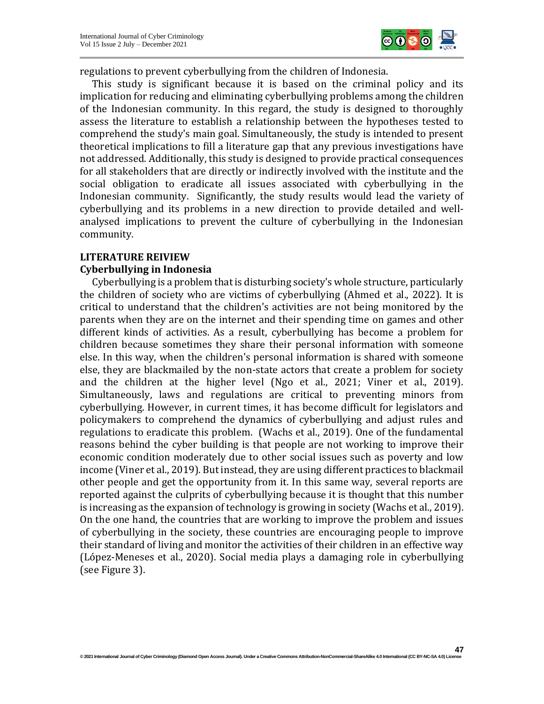

**47**

regulations to prevent cyberbullying from the children of Indonesia.

This study is significant because it is based on the criminal policy and its implication for reducing and eliminating cyberbullying problems among the children of the Indonesian community. In this regard, the study is designed to thoroughly assess the literature to establish a relationship between the hypotheses tested to comprehend the study's main goal. Simultaneously, the study is intended to present theoretical implications to fill a literature gap that any previous investigations have not addressed. Additionally, this study is designed to provide practical consequences for all stakeholders that are directly or indirectly involved with the institute and the social obligation to eradicate all issues associated with cyberbullying in the Indonesian community. Significantly, the study results would lead the variety of cyberbullying and its problems in a new direction to provide detailed and wellanalysed implications to prevent the culture of cyberbullying in the Indonesian community.

#### **LITERATURE REIVIEW**

#### **Cyberbullying in Indonesia**

Cyberbullying is a problem that is disturbing society's whole structure, particularly the children of society who are victims of cyberbullying (Ahmed et al., 2022). It is critical to understand that the children's activities are not being monitored by the parents when they are on the internet and their spending time on games and other different kinds of activities. As a result, cyberbullying has become a problem for children because sometimes they share their personal information with someone else. In this way, when the children's personal information is shared with someone else, they are blackmailed by the non-state actors that create a problem for society and the children at the higher level (Ngo et al., 2021; Viner et al., 2019). Simultaneously, laws and regulations are critical to preventing minors from cyberbullying. However, in current times, it has become difficult for legislators and policymakers to comprehend the dynamics of cyberbullying and adjust rules and regulations to eradicate this problem. (Wachs et al., 2019). One of the fundamental reasons behind the cyber building is that people are not working to improve their economic condition moderately due to other social issues such as poverty and low income (Viner et al., 2019). But instead, they are using different practices to blackmail other people and get the opportunity from it. In this same way, several reports are reported against the culprits of cyberbullying because it is thought that this number is increasing as the expansion of technology is growing in society (Wachs et al., 2019). On the one hand, the countries that are working to improve the problem and issues of cyberbullying in the society, these countries are encouraging people to improve their standard of living and monitor the activities of their children in an effective way (López-Meneses et al., 2020). Social media plays a damaging role in cyberbullying (see Figure 3).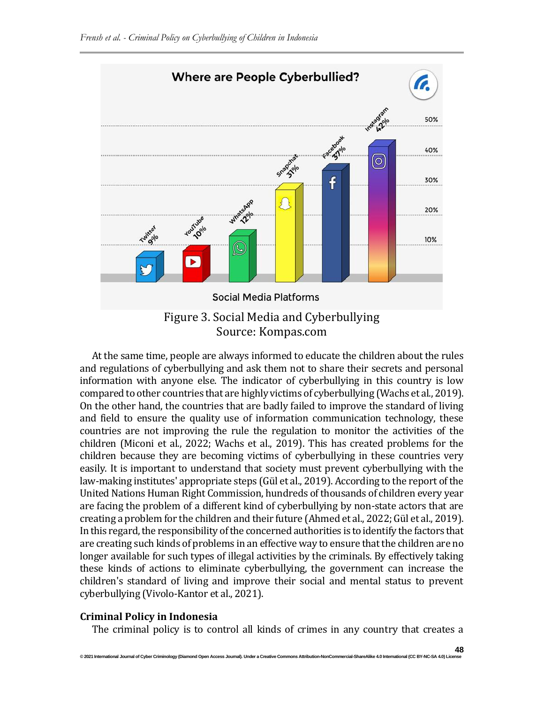

Source: Kompas.com

At the same time, people are always informed to educate the children about the rules and regulations of cyberbullying and ask them not to share their secrets and personal information with anyone else. The indicator of cyberbullying in this country is low compared to other countries that are highly victims of cyberbullying (Wachs et al., 2019). On the other hand, the countries that are badly failed to improve the standard of living and field to ensure the quality use of information communication technology, these countries are not improving the rule the regulation to monitor the activities of the children (Miconi et al., 2022; Wachs et al., 2019). This has created problems for the children because they are becoming victims of cyberbullying in these countries very easily. It is important to understand that society must prevent cyberbullying with the law-making institutes' appropriate steps (Gül et al., 2019). According to the report of the United Nations Human Right Commission, hundreds of thousands of children every year are facing the problem of a different kind of cyberbullying by non-state actors that are creating a problem for the children and their future (Ahmed et al., 2022; Gül et al., 2019). In this regard, the responsibility of the concerned authorities is to identify the factors that are creating such kinds of problems in an effective way to ensure that the children are no longer available for such types of illegal activities by the criminals. By effectively taking these kinds of actions to eliminate cyberbullying, the government can increase the children's standard of living and improve their social and mental status to prevent cyberbullying (Vivolo-Kantor et al., 2021).

### **Criminal Policy in Indonesia**

The criminal policy is to control all kinds of crimes in any country that creates a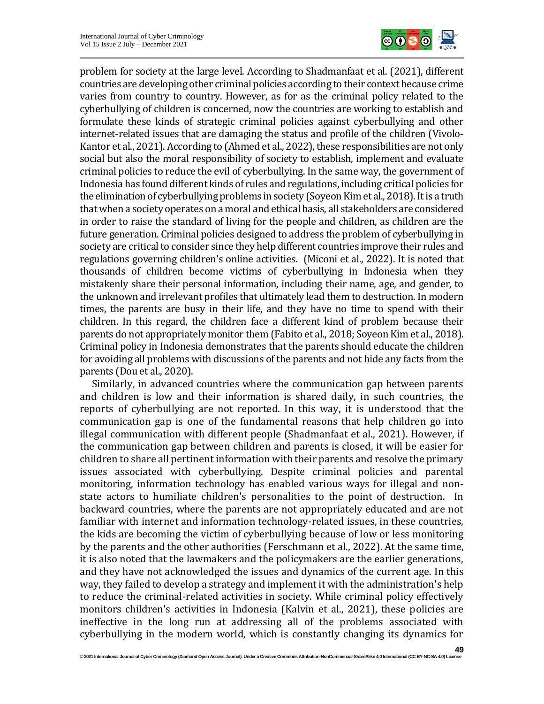

problem for society at the large level. According to Shadmanfaat et al. (2021), different countries are developing other criminal policies according to their context because crime varies from country to country. However, as for as the criminal policy related to the cyberbullying of children is concerned, now the countries are working to establish and formulate these kinds of strategic criminal policies against cyberbullying and other internet-related issues that are damaging the status and profile of the children (Vivolo-Kantor et al., 2021). According to (Ahmed et al., 2022), these responsibilities are not only social but also the moral responsibility of society to establish, implement and evaluate criminal policies to reduce the evil of cyberbullying. In the same way, the government of Indonesia has found different kinds of rules and regulations, including critical policies for the elimination of cyberbullying problems in society (Soyeon Kim et al., 2018). It is a truth that when a society operates on a moral and ethical basis, all stakeholders are considered in order to raise the standard of living for the people and children, as children are the future generation. Criminal policies designed to address the problem of cyberbullying in society are critical to consider since they help different countries improve their rules and regulations governing children's online activities. (Miconi et al., 2022). It is noted that thousands of children become victims of cyberbullying in Indonesia when they mistakenly share their personal information, including their name, age, and gender, to the unknown and irrelevant profiles that ultimately lead them to destruction. In modern times, the parents are busy in their life, and they have no time to spend with their children. In this regard, the children face a different kind of problem because their parents do not appropriately monitor them (Fabito et al., 2018; Soyeon Kim et al., 2018). Criminal policy in Indonesia demonstrates that the parents should educate the children for avoiding all problems with discussions of the parents and not hide any facts from the parents (Dou et al., 2020).

Similarly, in advanced countries where the communication gap between parents and children is low and their information is shared daily, in such countries, the reports of cyberbullying are not reported. In this way, it is understood that the communication gap is one of the fundamental reasons that help children go into illegal communication with different people (Shadmanfaat et al., 2021). However, if the communication gap between children and parents is closed, it will be easier for children to share all pertinent information with their parents and resolve the primary issues associated with cyberbullying. Despite criminal policies and parental monitoring, information technology has enabled various ways for illegal and nonstate actors to humiliate children's personalities to the point of destruction. In backward countries, where the parents are not appropriately educated and are not familiar with internet and information technology-related issues, in these countries, the kids are becoming the victim of cyberbullying because of low or less monitoring by the parents and the other authorities (Ferschmann et al., 2022). At the same time, it is also noted that the lawmakers and the policymakers are the earlier generations, and they have not acknowledged the issues and dynamics of the current age. In this way, they failed to develop a strategy and implement it with the administration's help to reduce the criminal-related activities in society. While criminal policy effectively monitors children's activities in Indonesia (Kalvin et al., 2021), these policies are ineffective in the long run at addressing all of the problems associated with cyberbullying in the modern world, which is constantly changing its dynamics for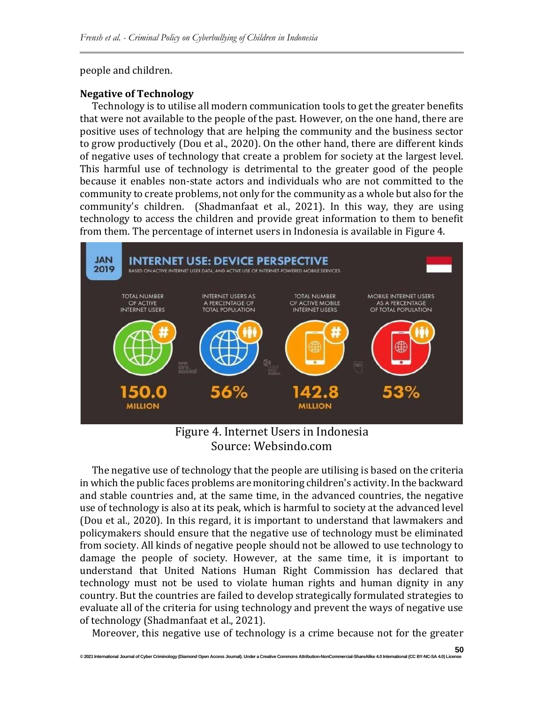people and children.

# **Negative of Technology**

Technology is to utilise all modern communication tools to get the greater benefits that were not available to the people of the past. However, on the one hand, there are positive uses of technology that are helping the community and the business sector to grow productively (Dou et al., 2020). On the other hand, there are different kinds of negative uses of technology that create a problem for society at the largest level. This harmful use of technology is detrimental to the greater good of the people because it enables non-state actors and individuals who are not committed to the community to create problems, not only for the community as a whole but also for the community's children. (Shadmanfaat et al., 2021). In this way, they are using technology to access the children and provide great information to them to benefit from them. The percentage of internet users in Indonesia is available in Figure 4.



Figure 4. Internet Users in Indonesia Source: Websindo.com

The negative use of technology that the people are utilising is based on the criteria in which the public faces problems are monitoring children's activity. In the backward and stable countries and, at the same time, in the advanced countries, the negative use of technology is also at its peak, which is harmful to society at the advanced level (Dou et al., 2020). In this regard, it is important to understand that lawmakers and policymakers should ensure that the negative use of technology must be eliminated from society. All kinds of negative people should not be allowed to use technology to damage the people of society. However, at the same time, it is important to understand that United Nations Human Right Commission has declared that technology must not be used to violate human rights and human dignity in any country. But the countries are failed to develop strategically formulated strategies to evaluate all of the criteria for using technology and prevent the ways of negative use of technology (Shadmanfaat et al., 2021).

Moreover, this negative use of technology is a crime because not for the greater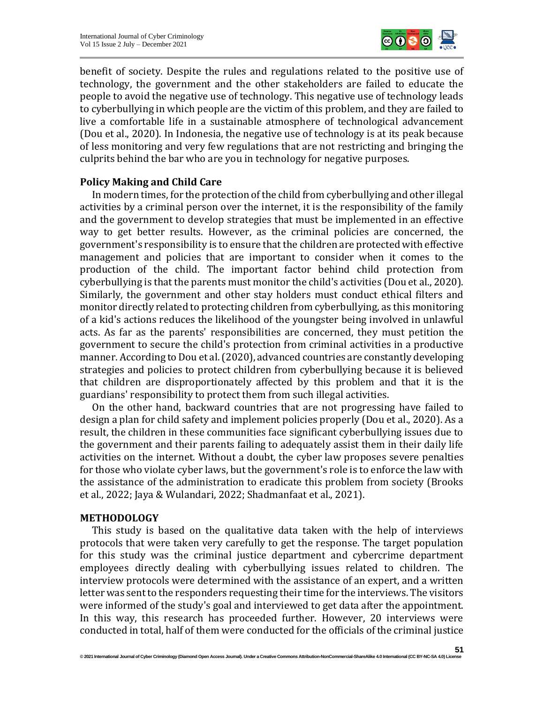

benefit of society. Despite the rules and regulations related to the positive use of technology, the government and the other stakeholders are failed to educate the people to avoid the negative use of technology. This negative use of technology leads to cyberbullying in which people are the victim of this problem, and they are failed to live a comfortable life in a sustainable atmosphere of technological advancement (Dou et al., 2020). In Indonesia, the negative use of technology is at its peak because of less monitoring and very few regulations that are not restricting and bringing the culprits behind the bar who are you in technology for negative purposes.

#### **Policy Making and Child Care**

In modern times, for the protection of the child from cyberbullying and other illegal activities by a criminal person over the internet, it is the responsibility of the family and the government to develop strategies that must be implemented in an effective way to get better results. However, as the criminal policies are concerned, the government's responsibility is to ensure that the children are protected with effective management and policies that are important to consider when it comes to the production of the child. The important factor behind child protection from cyberbullying is that the parents must monitor the child's activities (Dou et al., 2020). Similarly, the government and other stay holders must conduct ethical filters and monitor directly related to protecting children from cyberbullying, as this monitoring of a kid's actions reduces the likelihood of the youngster being involved in unlawful acts. As far as the parents' responsibilities are concerned, they must petition the government to secure the child's protection from criminal activities in a productive manner. According to Dou et al. (2020), advanced countries are constantly developing strategies and policies to protect children from cyberbullying because it is believed that children are disproportionately affected by this problem and that it is the guardians' responsibility to protect them from such illegal activities.

On the other hand, backward countries that are not progressing have failed to design a plan for child safety and implement policies properly (Dou et al., 2020). As a result, the children in these communities face significant cyberbullying issues due to the government and their parents failing to adequately assist them in their daily life activities on the internet. Without a doubt, the cyber law proposes severe penalties for those who violate cyber laws, but the government's role is to enforce the law with the assistance of the administration to eradicate this problem from society (Brooks et al., 2022; Jaya & Wulandari, 2022; Shadmanfaat et al., 2021).

#### **METHODOLOGY**

This study is based on the qualitative data taken with the help of interviews protocols that were taken very carefully to get the response. The target population for this study was the criminal justice department and cybercrime department employees directly dealing with cyberbullying issues related to children. The interview protocols were determined with the assistance of an expert, and a written letter was sent to the responders requesting their time for the interviews. The visitors were informed of the study's goal and interviewed to get data after the appointment. In this way, this research has proceeded further. However, 20 interviews were conducted in total, half of them were conducted for the officials of the criminal justice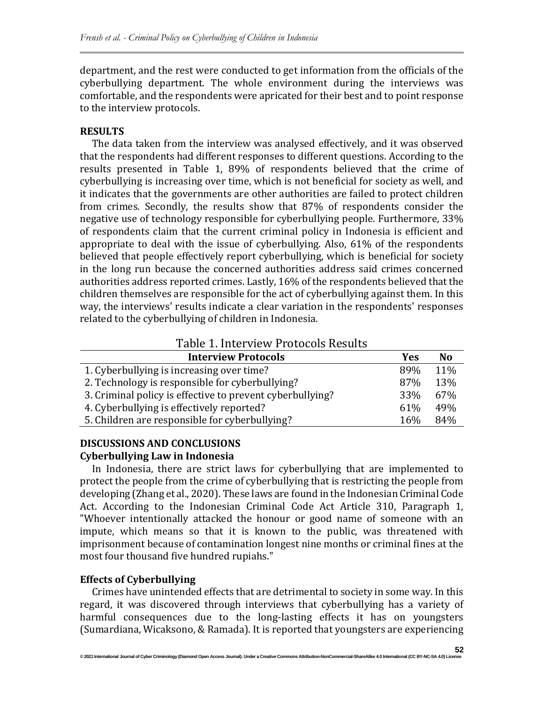department, and the rest were conducted to get information from the officials of the cyberbullying department. The whole environment during the interviews was comfortable, and the respondents were apricated for their best and to point response to the interview protocols.

#### **RESULTS**

The data taken from the interview was analysed effectively, and it was observed that the respondents had different responses to different questions. According to the results presented in Table 1, 89% of respondents believed that the crime of cyberbullying is increasing over time, which is not beneficial for society as well, and it indicates that the governments are other authorities are failed to protect children from crimes. Secondly, the results show that 87% of respondents consider the negative use of technology responsible for cyberbullying people. Furthermore, 33% of respondents claim that the current criminal policy in Indonesia is efficient and appropriate to deal with the issue of cyberbullying. Also, 61% of the respondents believed that people effectively report cyberbullying, which is beneficial for society in the long run because the concerned authorities address said crimes concerned authorities address reported crimes. Lastly, 16% of the respondents believed that the children themselves are responsible for the act of cyberbullying against them. In this way, the interviews' results indicate a clear variation in the respondents' responses related to the cyberbullying of children in Indonesia.

## Table 1. Interview Protocols Results

| <b>Interview Protocols</b>                                | Yes | N <sub>0</sub> |
|-----------------------------------------------------------|-----|----------------|
| 1. Cyberbullying is increasing over time?                 | 89% | 11%            |
| 2. Technology is responsible for cyberbullying?           | 87% | 13%            |
| 3. Criminal policy is effective to prevent cyberbullying? | 33% | 67%            |
| 4. Cyberbullying is effectively reported?                 | 61% | 49%            |
| 5. Children are responsible for cyberbullying?            | 16% | 84%            |

# **DISCUSSIONS AND CONCLUSIONS Cyberbullying Law in Indonesia**

In Indonesia, there are strict laws for cyberbullying that are implemented to protect the people from the crime of cyberbullying that is restricting the people from developing (Zhang et al., 2020). These laws are found in the Indonesian Criminal Code Act. According to the Indonesian Criminal Code Act Article 310, Paragraph 1, "Whoever intentionally attacked the honour or good name of someone with an impute, which means so that it is known to the public, was threatened with imprisonment because of contamination longest nine months or criminal fines at the most four thousand five hundred rupiahs."

### **Effects of Cyberbullying**

Crimes have unintended effects that are detrimental to society in some way. In this regard, it was discovered through interviews that cyberbullying has a variety of harmful consequences due to the long-lasting effects it has on youngsters (Sumardiana, Wicaksono, & Ramada). It is reported that youngsters are experiencing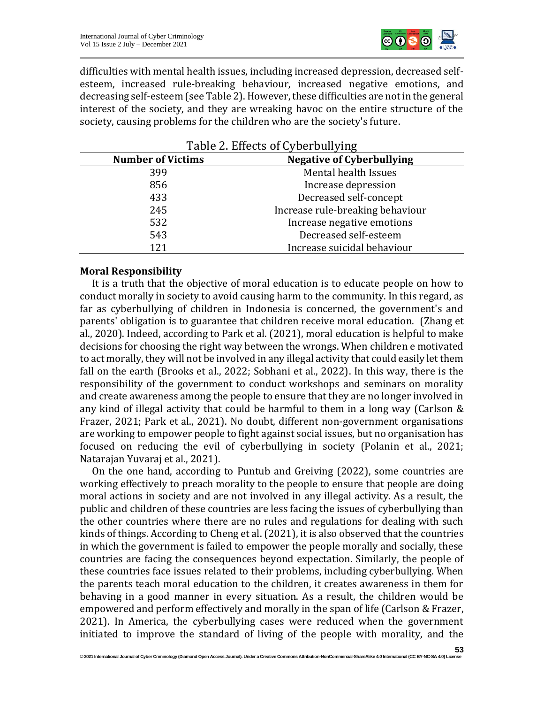

difficulties with mental health issues, including increased depression, decreased selfesteem, increased rule-breaking behaviour, increased negative emotions, and decreasing self-esteem (see Table 2). However, these difficulties are not in the general interest of the society, and they are wreaking havoc on the entire structure of the society, causing problems for the children who are the society's future.

| Table 2. Effects of Gyberballying |                                  |  |
|-----------------------------------|----------------------------------|--|
| <b>Number of Victims</b>          | <b>Negative of Cyberbullying</b> |  |
| 399                               | Mental health Issues             |  |
| 856                               | Increase depression              |  |
| 433                               | Decreased self-concept           |  |
| 245                               | Increase rule-breaking behaviour |  |
| 532                               | Increase negative emotions       |  |
| 543                               | Decreased self-esteem            |  |
| 121                               | Increase suicidal behaviour      |  |

#### Table 2. Effects of Cyberbullying

#### **Moral Responsibility**

It is a truth that the objective of moral education is to educate people on how to conduct morally in society to avoid causing harm to the community. In this regard, as far as cyberbullying of children in Indonesia is concerned, the government's and parents' obligation is to guarantee that children receive moral education. (Zhang et al., 2020). Indeed, according to Park et al. (2021), moral education is helpful to make decisions for choosing the right way between the wrongs. When children e motivated to act morally, they will not be involved in any illegal activity that could easily let them fall on the earth (Brooks et al., 2022; Sobhani et al., 2022). In this way, there is the responsibility of the government to conduct workshops and seminars on morality and create awareness among the people to ensure that they are no longer involved in any kind of illegal activity that could be harmful to them in a long way (Carlson & Frazer, 2021; Park et al., 2021). No doubt, different non-government organisations are working to empower people to fight against social issues, but no organisation has focused on reducing the evil of cyberbullying in society (Polanin et al., 2021; Natarajan Yuvaraj et al., 2021).

On the one hand, according to Puntub and Greiving (2022), some countries are working effectively to preach morality to the people to ensure that people are doing moral actions in society and are not involved in any illegal activity. As a result, the public and children of these countries are less facing the issues of cyberbullying than the other countries where there are no rules and regulations for dealing with such kinds of things. According to Cheng et al. (2021), it is also observed that the countries in which the government is failed to empower the people morally and socially, these countries are facing the consequences beyond expectation. Similarly, the people of these countries face issues related to their problems, including cyberbullying. When the parents teach moral education to the children, it creates awareness in them for behaving in a good manner in every situation. As a result, the children would be empowered and perform effectively and morally in the span of life (Carlson & Frazer, 2021). In America, the cyberbullying cases were reduced when the government initiated to improve the standard of living of the people with morality, and the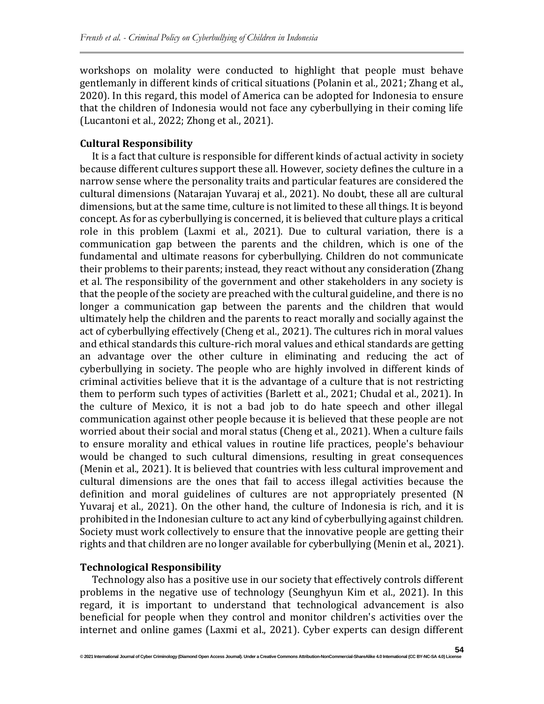workshops on molality were conducted to highlight that people must behave gentlemanly in different kinds of critical situations (Polanin et al., 2021; Zhang et al., 2020). In this regard, this model of America can be adopted for Indonesia to ensure that the children of Indonesia would not face any cyberbullying in their coming life (Lucantoni et al., 2022; Zhong et al., 2021).

### **Cultural Responsibility**

It is a fact that culture is responsible for different kinds of actual activity in society because different cultures support these all. However, society defines the culture in a narrow sense where the personality traits and particular features are considered the cultural dimensions (Natarajan Yuvaraj et al., 2021). No doubt, these all are cultural dimensions, but at the same time, culture is not limited to these all things. It is beyond concept. As for as cyberbullying is concerned, it is believed that culture plays a critical role in this problem (Laxmi et al., 2021). Due to cultural variation, there is a communication gap between the parents and the children, which is one of the fundamental and ultimate reasons for cyberbullying. Children do not communicate their problems to their parents; instead, they react without any consideration (Zhang et al. The responsibility of the government and other stakeholders in any society is that the people of the society are preached with the cultural guideline, and there is no longer a communication gap between the parents and the children that would ultimately help the children and the parents to react morally and socially against the act of cyberbullying effectively (Cheng et al., 2021). The cultures rich in moral values and ethical standards this culture-rich moral values and ethical standards are getting an advantage over the other culture in eliminating and reducing the act of cyberbullying in society. The people who are highly involved in different kinds of criminal activities believe that it is the advantage of a culture that is not restricting them to perform such types of activities (Barlett et al., 2021; Chudal et al., 2021). In the culture of Mexico, it is not a bad job to do hate speech and other illegal communication against other people because it is believed that these people are not worried about their social and moral status (Cheng et al., 2021). When a culture fails to ensure morality and ethical values in routine life practices, people's behaviour would be changed to such cultural dimensions, resulting in great consequences (Menin et al., 2021). It is believed that countries with less cultural improvement and cultural dimensions are the ones that fail to access illegal activities because the definition and moral guidelines of cultures are not appropriately presented (N Yuvaraj et al., 2021). On the other hand, the culture of Indonesia is rich, and it is prohibited in the Indonesian culture to act any kind of cyberbullying against children. Society must work collectively to ensure that the innovative people are getting their rights and that children are no longer available for cyberbullying (Menin et al., 2021).

### **Technological Responsibility**

Technology also has a positive use in our society that effectively controls different problems in the negative use of technology (Seunghyun Kim et al., 2021). In this regard, it is important to understand that technological advancement is also beneficial for people when they control and monitor children's activities over the internet and online games (Laxmi et al., 2021). Cyber experts can design different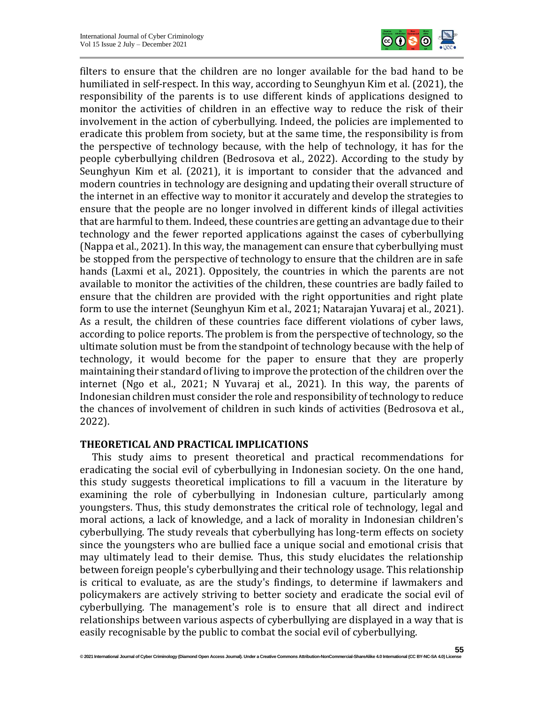

filters to ensure that the children are no longer available for the bad hand to be humiliated in self-respect. In this way, according to Seunghyun Kim et al. (2021), the responsibility of the parents is to use different kinds of applications designed to monitor the activities of children in an effective way to reduce the risk of their involvement in the action of cyberbullying. Indeed, the policies are implemented to eradicate this problem from society, but at the same time, the responsibility is from the perspective of technology because, with the help of technology, it has for the people cyberbullying children (Bedrosova et al., 2022). According to the study by Seunghyun Kim et al. (2021), it is important to consider that the advanced and modern countries in technology are designing and updating their overall structure of the internet in an effective way to monitor it accurately and develop the strategies to ensure that the people are no longer involved in different kinds of illegal activities that are harmful to them. Indeed, these countries are getting an advantage due to their technology and the fewer reported applications against the cases of cyberbullying (Nappa et al., 2021). In this way, the management can ensure that cyberbullying must be stopped from the perspective of technology to ensure that the children are in safe hands (Laxmi et al., 2021). Oppositely, the countries in which the parents are not available to monitor the activities of the children, these countries are badly failed to ensure that the children are provided with the right opportunities and right plate form to use the internet (Seunghyun Kim et al., 2021; Natarajan Yuvaraj et al., 2021). As a result, the children of these countries face different violations of cyber laws, according to police reports. The problem is from the perspective of technology, so the ultimate solution must be from the standpoint of technology because with the help of technology, it would become for the paper to ensure that they are properly maintaining their standard of living to improve the protection of the children over the internet (Ngo et al., 2021; N Yuvaraj et al., 2021). In this way, the parents of Indonesian children must consider the role and responsibility of technology to reduce the chances of involvement of children in such kinds of activities (Bedrosova et al., 2022).

#### **THEORETICAL AND PRACTICAL IMPLICATIONS**

This study aims to present theoretical and practical recommendations for eradicating the social evil of cyberbullying in Indonesian society. On the one hand, this study suggests theoretical implications to fill a vacuum in the literature by examining the role of cyberbullying in Indonesian culture, particularly among youngsters. Thus, this study demonstrates the critical role of technology, legal and moral actions, a lack of knowledge, and a lack of morality in Indonesian children's cyberbullying. The study reveals that cyberbullying has long-term effects on society since the youngsters who are bullied face a unique social and emotional crisis that may ultimately lead to their demise. Thus, this study elucidates the relationship between foreign people's cyberbullying and their technology usage. This relationship is critical to evaluate, as are the study's findings, to determine if lawmakers and policymakers are actively striving to better society and eradicate the social evil of cyberbullying. The management's role is to ensure that all direct and indirect relationships between various aspects of cyberbullying are displayed in a way that is easily recognisable by the public to combat the social evil of cyberbullying.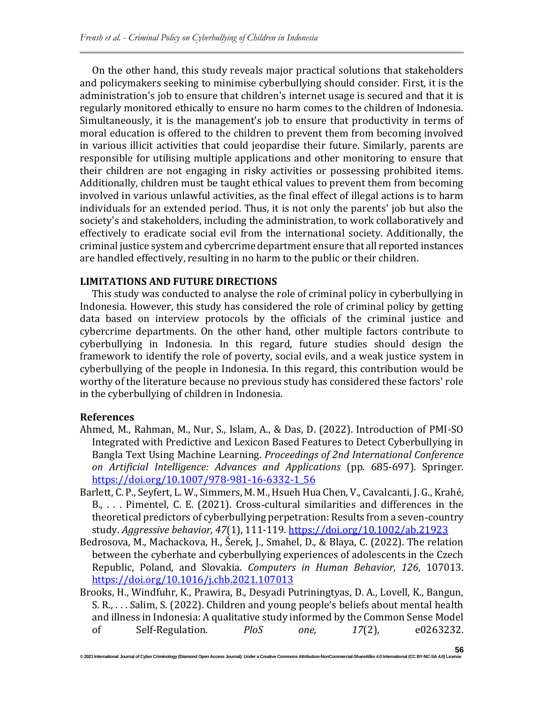On the other hand, this study reveals major practical solutions that stakeholders and policymakers seeking to minimise cyberbullying should consider. First, it is the administration's job to ensure that children's internet usage is secured and that it is regularly monitored ethically to ensure no harm comes to the children of Indonesia. Simultaneously, it is the management's job to ensure that productivity in terms of moral education is offered to the children to prevent them from becoming involved in various illicit activities that could jeopardise their future. Similarly, parents are responsible for utilising multiple applications and other monitoring to ensure that their children are not engaging in risky activities or possessing prohibited items. Additionally, children must be taught ethical values to prevent them from becoming involved in various unlawful activities, as the final effect of illegal actions is to harm individuals for an extended period. Thus, it is not only the parents' job but also the society's and stakeholders, including the administration, to work collaboratively and effectively to eradicate social evil from the international society. Additionally, the criminal justice system and cybercrime department ensure that all reported instances are handled effectively, resulting in no harm to the public or their children.

#### **LIMITATIONS AND FUTURE DIRECTIONS**

This study was conducted to analyse the role of criminal policy in cyberbullying in Indonesia. However, this study has considered the role of criminal policy by getting data based on interview protocols by the officials of the criminal justice and cybercrime departments. On the other hand, other multiple factors contribute to cyberbullying in Indonesia. In this regard, future studies should design the framework to identify the role of poverty, social evils, and a weak justice system in cyberbullying of the people in Indonesia. In this regard, this contribution would be worthy of the literature because no previous study has considered these factors' role in the cyberbullying of children in Indonesia.

#### **References**

- Ahmed, M., Rahman, M., Nur, S., Islam, A., & Das, D. (2022). Introduction of PMI-SO Integrated with Predictive and Lexicon Based Features to Detect Cyberbullying in Bangla Text Using Machine Learning. *Proceedings of 2nd International Conference on Artificial Intelligence: Advances and Applications* (pp. 685-697). Springer*.* [https://doi.org/10.1007/978-981-16-6332-1\\_56](https://doi.org/10.1007/978-981-16-6332-1_56)
- Barlett, C. P., Seyfert, L. W., Simmers, M. M., Hsueh Hua Chen, V., Cavalcanti, J. G., Krahé, B., . . . Pimentel, C. E. (2021). Cross-cultural similarities and differences in the theoretical predictors of cyberbullying perpetration: Results from a seven‐country study. *Aggressive behavior, 47*(1), 111-119.<https://doi.org/10.1002/ab.21923>
- Bedrosova, M., Machackova, H., Šerek, J., Smahel, D., & Blaya, C. (2022). The relation between the cyberhate and cyberbullying experiences of adolescents in the Czech Republic, Poland, and Slovakia. *Computers in Human Behavior, 126*, 107013. <https://doi.org/10.1016/j.chb.2021.107013>
- Brooks, H., Windfuhr, K., Prawira, B., Desyadi Putriningtyas, D. A., Lovell, K., Bangun, S. R., . . . Salim, S. (2022). Children and young people's beliefs about mental health and illness in Indonesia: A qualitative study informed by the Common Sense Model of Self-Regulation. *PloS one, 17*(2), e0263232.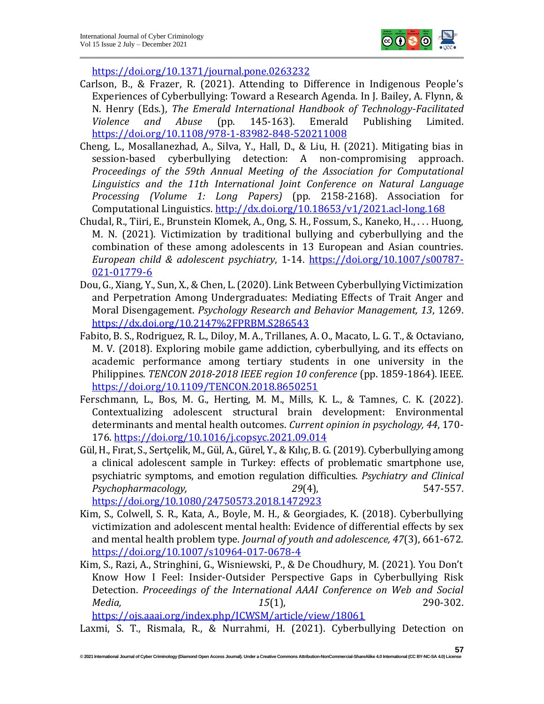

<https://doi.org/10.1371/journal.pone.0263232>

- Carlson, B., & Frazer, R. (2021). Attending to Difference in Indigenous People's Experiences of Cyberbullying: Toward a Research Agenda. In J. Bailey, A. Flynn, & N. Henry (Eds.), *The Emerald International Handbook of Technology-Facilitated Violence and Abuse* (pp. 145-163). Emerald Publishing Limited. <https://doi.org/10.1108/978-1-83982-848-520211008>
- Cheng, L., Mosallanezhad, A., Silva, Y., Hall, D., & Liu, H. (2021). Mitigating bias in session-based cyberbullying detection: A non-compromising approach. *Proceedings of the 59th Annual Meeting of the Association for Computational Linguistics and the 11th International Joint Conference on Natural Language Processing (Volume 1: Long Papers)* (pp. 2158-2168). Association for Computational Linguistics*.* <http://dx.doi.org/10.18653/v1/2021.acl-long.168>
- Chudal, R., Tiiri, E., Brunstein Klomek, A., Ong, S. H., Fossum, S., Kaneko, H., . . . Huong, M. N. (2021). Victimization by traditional bullying and cyberbullying and the combination of these among adolescents in 13 European and Asian countries. *European child & adolescent psychiatry*, 1-14. [https://doi.org/10.1007/s00787-](https://doi.org/10.1007/s00787-021-01779-6) [021-01779-6](https://doi.org/10.1007/s00787-021-01779-6)
- Dou, G., Xiang, Y., Sun, X., & Chen, L. (2020). Link Between Cyberbullying Victimization and Perpetration Among Undergraduates: Mediating Effects of Trait Anger and Moral Disengagement. *Psychology Research and Behavior Management, 13*, 1269. <https://dx.doi.org/10.2147%2FPRBM.S286543>
- Fabito, B. S., Rodriguez, R. L., Diloy, M. A., Trillanes, A. O., Macato, L. G. T., & Octaviano, M. V. (2018). Exploring mobile game addiction, cyberbullying, and its effects on academic performance among tertiary students in one university in the Philippines. *TENCON 2018-2018 IEEE region 10 conference* (pp. 1859-1864). IEEE*.* <https://doi.org/10.1109/TENCON.2018.8650251>
- Ferschmann, L., Bos, M. G., Herting, M. M., Mills, K. L., & Tamnes, C. K. (2022). Contextualizing adolescent structural brain development: Environmental determinants and mental health outcomes. *Current opinion in psychology, 44*, 170- 176.<https://doi.org/10.1016/j.copsyc.2021.09.014>
- Gül, H., Fırat, S., Sertçelik, M., Gül, A., Gürel, Y., & Kılıç, B. G. (2019). Cyberbullying among a clinical adolescent sample in Turkey: effects of problematic smartphone use, psychiatric symptoms, and emotion regulation difficulties. *Psychiatry and Clinical Psychopharmacology, 29*(4), 547-557. <https://doi.org/10.1080/24750573.2018.1472923>
- Kim, S., Colwell, S. R., Kata, A., Boyle, M. H., & Georgiades, K. (2018). Cyberbullying victimization and adolescent mental health: Evidence of differential effects by sex and mental health problem type. *Journal of youth and adolescence, 47*(3), 661-672. <https://doi.org/10.1007/s10964-017-0678-4>
- Kim, S., Razi, A., Stringhini, G., Wisniewski, P., & De Choudhury, M. (2021). You Don't Know How I Feel: Insider-Outsider Perspective Gaps in Cyberbullying Risk Detection. *Proceedings of the International AAAI Conference on Web and Social Media, 15*(1), 290-302.

<https://ojs.aaai.org/index.php/ICWSM/article/view/18061>

Laxmi, S. T., Rismala, R., & Nurrahmi, H. (2021). Cyberbullying Detection on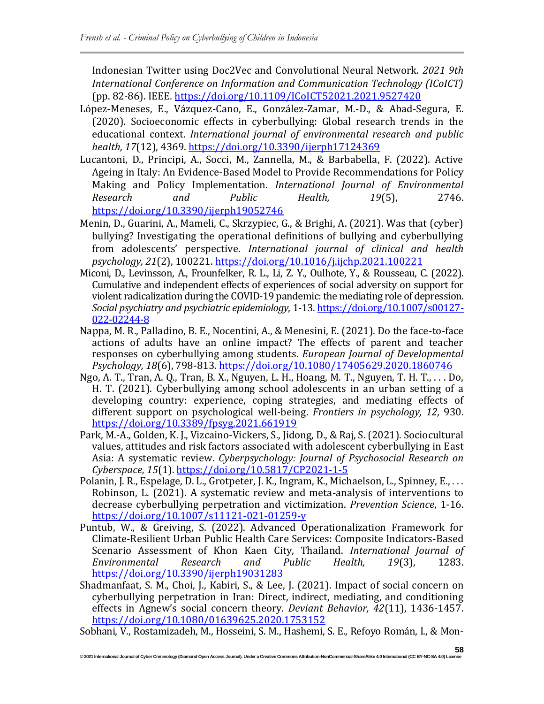Indonesian Twitter using Doc2Vec and Convolutional Neural Network. *2021 9th International Conference on Information and Communication Technology (ICoICT)* (pp. 82-86). IEEE*.* <https://doi.org/10.1109/ICoICT52021.2021.9527420>

- López-Meneses, E., Vázquez-Cano, E., González-Zamar, M.-D., & Abad-Segura, E. (2020). Socioeconomic effects in cyberbullying: Global research trends in the educational context. *International journal of environmental research and public health, 17*(12), 4369.<https://doi.org/10.3390/ijerph17124369>
- Lucantoni, D., Principi, A., Socci, M., Zannella, M., & Barbabella, F. (2022). Active Ageing in Italy: An Evidence-Based Model to Provide Recommendations for Policy Making and Policy Implementation. *International Journal of Environmental Research and Public Health, 19*(5), 2746. <https://doi.org/10.3390/ijerph19052746>
- Menin, D., Guarini, A., Mameli, C., Skrzypiec, G., & Brighi, A. (2021). Was that (cyber) bullying? Investigating the operational definitions of bullying and cyberbullying from adolescents' perspective. *International journal of clinical and health psychology, 21*(2), 100221.<https://doi.org/10.1016/j.ijchp.2021.100221>
- Miconi, D., Levinsson, A., Frounfelker, R. L., Li, Z. Y., Oulhote, Y., & Rousseau, C. (2022). Cumulative and independent effects of experiences of social adversity on support for violent radicalization during the COVID-19 pandemic: the mediating role of depression. *Social psychiatry and psychiatric epidemiology*, 1-13. [https://doi.org/10.1007/s00127-](https://doi.org/10.1007/s00127-022-02244-8) [022-02244-8](https://doi.org/10.1007/s00127-022-02244-8)
- Nappa, M. R., Palladino, B. E., Nocentini, A., & Menesini, E. (2021). Do the face-to-face actions of adults have an online impact? The effects of parent and teacher responses on cyberbullying among students. *European Journal of Developmental Psychology, 18*(6), 798-813.<https://doi.org/10.1080/17405629.2020.1860746>
- Ngo, A. T., Tran, A. Q., Tran, B. X., Nguyen, L. H., Hoang, M. T., Nguyen, T. H. T., . . . Do, H. T. (2021). Cyberbullying among school adolescents in an urban setting of a developing country: experience, coping strategies, and mediating effects of different support on psychological well-being. *Frontiers in psychology, 12*, 930. <https://doi.org/10.3389/fpsyg.2021.661919>
- Park, M.-A., Golden, K. J., Vizcaino-Vickers, S., Jidong, D., & Raj, S. (2021). Sociocultural values, attitudes and risk factors associated with adolescent cyberbullying in East Asia: A systematic review. *Cyberpsychology: Journal of Psychosocial Research on Cyberspace, 15*(1).<https://doi.org/10.5817/CP2021-1-5>
- Polanin, J. R., Espelage, D. L., Grotpeter, J. K., Ingram, K., Michaelson, L., Spinney, E., . . . Robinson, L. (2021). A systematic review and meta-analysis of interventions to decrease cyberbullying perpetration and victimization. *Prevention Science*, 1-16. <https://doi.org/10.1007/s11121-021-01259-y>
- Puntub, W., & Greiving, S. (2022). Advanced Operationalization Framework for Climate-Resilient Urban Public Health Care Services: Composite Indicators-Based Scenario Assessment of Khon Kaen City, Thailand. *International Journal of Environmental Research and Public Health, 19*(3), 1283. <https://doi.org/10.3390/ijerph19031283>
- Shadmanfaat, S. M., Choi, J., Kabiri, S., & Lee, J. (2021). Impact of social concern on cyberbullying perpetration in Iran: Direct, indirect, mediating, and conditioning effects in Agnew's social concern theory. *Deviant Behavior, 42*(11), 1436-1457. <https://doi.org/10.1080/01639625.2020.1753152>

Sobhani, V., Rostamizadeh, M., Hosseini, S. M., Hashemi, S. E., Refoyo Román, I., & Mon-